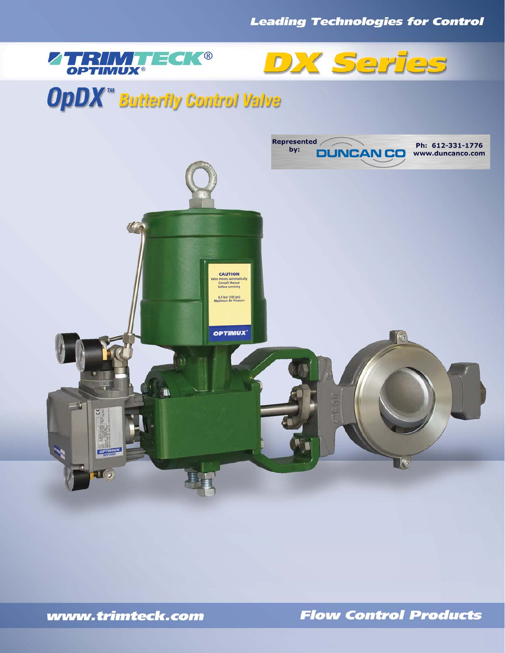



# **OpDX<sup>"</sup>** Butterfly Control Valve



www.trimteck.com

**Flow Control Products**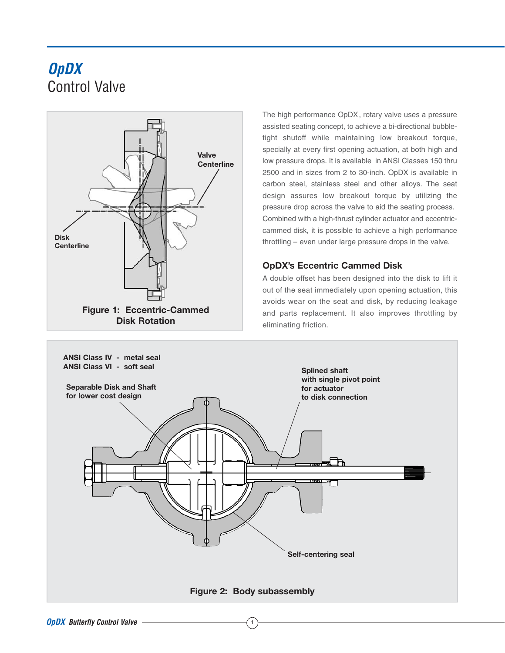## **OpDX** Control Valve



The high performance OpDX, rotary valve uses a pressure assisted seating concept, to achieve a bi-directional bubbletight shutoff while maintaining low breakout torque, specially at every first opening actuation, at both high and low pressure drops. It is available in ANSI Classes 150 thru 2500 and in sizes from 2 to 30-inch. OpDX is available in carbon steel, stainless steel and other alloys. The seat design assures low breakout torque by utilizing the pressure drop across the valve to aid the seating process. Combined with a high-thrust cylinder actuator and eccentriccammed disk, it is possible to achieve a high performance throttling – even under large pressure drops in the valve.

## **OpDX's Eccentric Cammed Disk**

A double offset has been designed into the disk to lift it out of the seat immediately upon opening actuation, this avoids wear on the seat and disk, by reducing leakage and parts replacement. It also improves throttling by eliminating friction.

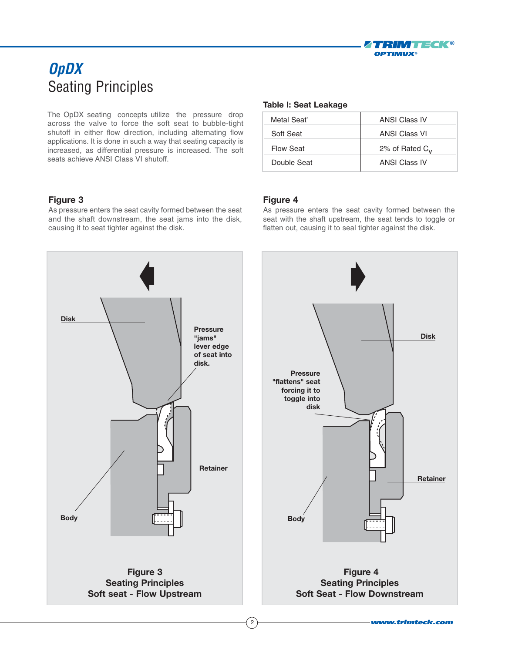

## **OpDX** Seating Principles

The OpDX seating concepts utilize the pressure drop across the valve to force the soft seat to bubble-tight shutoff in either flow direction, including alternating flow applications. It is done in such a way that seating capacity is increased, as differential pressure is increased. The soft seats achieve ANSI Class VI shutoff.

## **Figure 3**

As pressure enters the seat cavity formed between the seat and the shaft downstream, the seat jams into the disk, causing it to seat tighter against the disk.

#### **Table I: Seat Leakage**

| Metal Seat  | <b>ANSI Class IV</b> |
|-------------|----------------------|
| Soft Seat   | <b>ANSI Class VI</b> |
| Flow Seat   | 2% of Rated $C_V$    |
| Double Seat | <b>ANSI Class IV</b> |

### **Figure 4**

As pressure enters the seat cavity formed between the seat with the shaft upstream, the seat tends to toggle or flatten out, causing it to seal tighter against the disk.

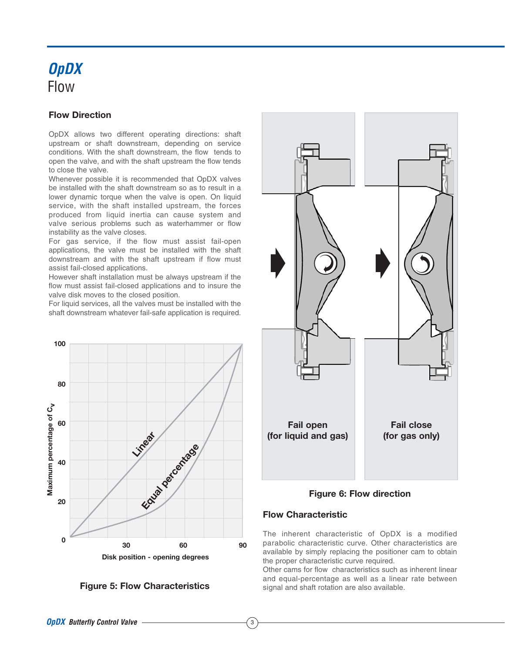## **OpDX** Flow

## **Flow Direction**

OpDX allows two different operating directions: shaft upstream or shaft downstream, depending on service conditions. With the shaft downstream, the flow tends to open the valve, and with the shaft upstream the flow tends to close the valve.

Whenever possible it is recommended that OpDX valves be installed with the shaft downstream so as to result in a lower dynamic torque when the valve is open. On liquid service, with the shaft installed upstream, the forces produced from liquid inertia can cause system and valve serious problems such as waterhammer or flow instability as the valve closes.

For gas service, if the flow must assist fail-open applications, the valve must be installed with the shaft downstream and with the shaft upstream if flow must assist fail-closed applications.

However shaft installation must be always upstream if the flow must assist fail-closed applications and to insure the valve disk moves to the closed position.

For liquid services, all the valves must be installed with the shaft downstream whatever fail-safe application is required.







**Figure 6: Flow direction**

## **Flow Characteristic**

3

The inherent characteristic of OpDX is a modified parabolic characteristic curve. Other characteristics are available by simply replacing the positioner cam to obtain the proper characteristic curve required.

Other cams for flow characteristics such as inherent linear and equal-percentage as well as a linear rate between **Figure 5: Flow Characteristics** signal and shaft rotation are also available.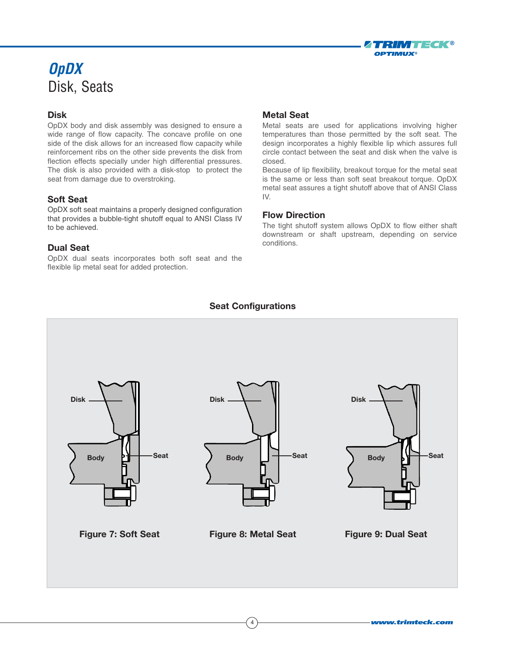## **OpDX** Disk, Seats

## **Disk**

OpDX body and disk assembly was designed to ensure a wide range of flow capacity. The concave profile on one side of the disk allows for an increased flow capacity while reinforcement ribs on the other side prevents the disk from flection effects specially under high differential pressures. The disk is also provided with a disk-stop to protect the seat from damage due to overstroking.

## **Soft Seat**

OpDX soft seat maintains a properly designed configuration that provides a bubble-tight shutoff equal to ANSI Class IV to be achieved.

## **Dual Seat**

OpDX dual seats incorporates both soft seat and the flexible lip metal seat for added protection.

## **Metal Seat**

Metal seats are used for applications involving higher temperatures than those permitted by the soft seat. The design incorporates a highly flexible lip which assures full circle contact between the seat and disk when the valve is closed.

TRIM TEGK®

**OPTIMUX®** 

Because of lip flexibility, breakout torque for the metal seat is the same or less than soft seat breakout torque. OpDX metal seat assures a tight shutoff above that of ANSI Class IV.

### **Flow Direction**

The tight shutoff system allows OpDX to flow either shaft downstream or shaft upstream, depending on service conditions.

## **Seat Configurations**

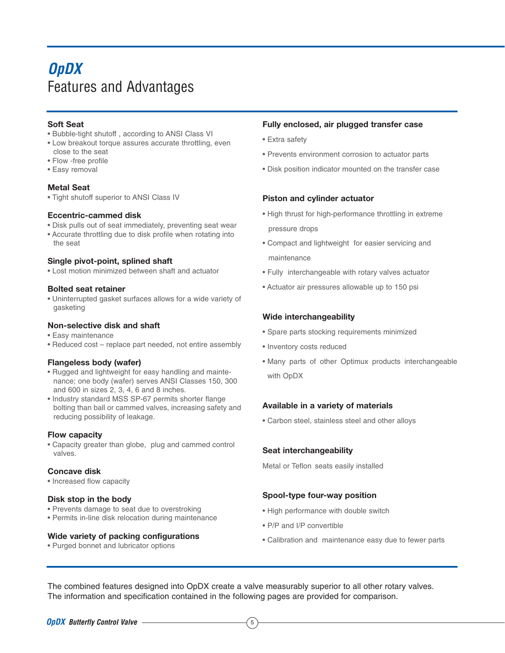## **OpDX** Features and Advantages

### **Soft Seat**

- Bubble-tight shutoff , according to ANSI Class VI
- Low breakout torque assures accurate throttling, even close to the seat
- Flow -free profile
- Easy removal

#### **Metal Seat**

• Tight shutoff superior to ANSI Class IV

#### **Eccentric-cammed disk**

- Disk pulls out of seat immediately, preventing seat wear
- Accurate throttling due to disk profile when rotating into the seat

#### **Single pivot-point, splined shaft**

• Lost motion minimized between shaft and actuator

#### **Bolted seat retainer**

• Uninterrupted gasket surfaces allows for a wide variety of gasketing

#### **Non-selective disk and shaft**

- Easy maintenance
- Reduced cost replace part needed, not entire assembly

#### **Flangeless body (wafer)**

- Rugged and lightweight for easy handling and maintenance; one body (wafer) serves ANSI Classes 150, 300 and 600 in sizes 2, 3, 4, 6 and 8 inches.
- Industry standard MSS SP-67 permits shorter flange bolting than ball or cammed valves, increasing safety and reducing possibility of leakage.

#### **Flow capacity**

• Capacity greater than globe, plug and cammed control valves.

#### **Concave disk**

• Increased flow capacity

#### **Disk stop in the body**

- Prevents damage to seat due to overstroking
- Permits in-line disk relocation during maintenance

#### **Wide variety of packing configurations**

• Purged bonnet and lubricator options

#### **Fully enclosed, air plugged transfer case**

- Extra safety
- Prevents environment corrosion to actuator parts
- Disk position indicator mounted on the transfer case

### **Piston and cylinder actuator**

- High thrust for high-performance throttling in extreme pressure drops
- Compact and lightweight for easier servicing and maintenance
- Fully interchangeable with rotary valves actuator
- Actuator air pressures allowable up to 150 psi

### **Wide interchangeability**

- Spare parts stocking requirements minimized
- Inventory costs reduced
- Many parts of other Optimux products interchangeable with OpDX

#### **Available in a variety of materials**

• Carbon steel, stainless steel and other alloys

#### **Seat interchangeability**

Metal or Teflon seats easily installed

#### **Spool-type four-way position**

- High performance with double switch
- P/P and I/P convertible
- Calibration and maintenance easy due to fewer parts

The combined features designed into OpDX create a valve measurably superior to all other rotary valves. The information and specification contained in the following pages are provided for comparison.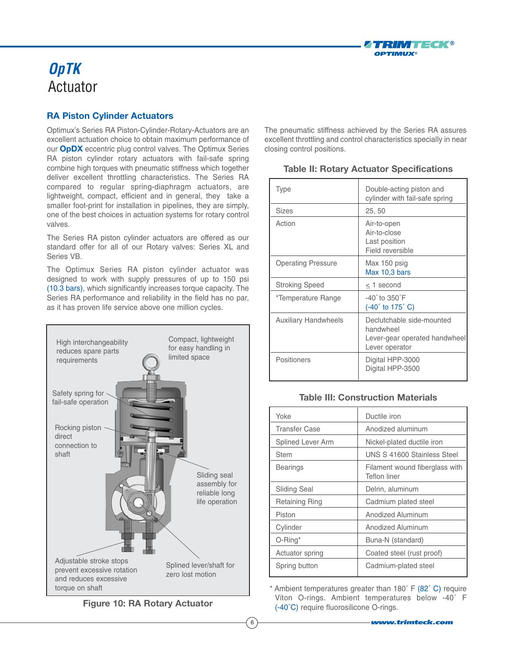

## **OpTK** Actuator

## **RA Piston Cylinder Actuators**

Optimux's Series RA Piston-Cylinder-Rotary-Actuators are an excellent actuation choice to obtain maximum performance of our **OpDX** eccentric plug control valves. The Optimux Series RA piston cylinder rotary actuators with fail-safe spring combine high torques with pneumatic stiffness which together deliver excellent throttling characteristics. The Series RA compared to regular spring-diaphragm actuators, are lightweight, compact, efficient and in general, they take a smaller foot-print for installation in pipelines, they are simply, one of the best choices in actuation systems for rotary control valves.

The Series RA piston cylinder actuators are offered as our standard offer for all of our Rotary valves: Series XL and Series VB.

The Optimux Series RA piston cylinder actuator was designed to work with supply pressures of up to 150 psi (10.3 bars), which significantly increases torque capacity. The Series RA performance and reliability in the field has no par, as it has proven life service above one million cycles.



The pneumatic stiffness achieved by the Series RA assures excellent throttling and control characteristics specially in near closing control positions.

| <b>Type</b>                 | Double-acting piston and<br>cylinder with fail-safe spring                                |
|-----------------------------|-------------------------------------------------------------------------------------------|
| <b>Sizes</b>                | 25, 50                                                                                    |
| Action                      | Air-to-open<br>Air-to-close<br>Last position<br>Field reversible                          |
| <b>Operating Pressure</b>   | Max 150 psig<br>Max 10,3 bars                                                             |
| <b>Stroking Speed</b>       | $\leq$ 1 second                                                                           |
| *Temperature Range          | $-40^\circ$ to $350^\circ$ F<br>$(-40^{\circ}$ to 175 $^{\circ}$ C)                       |
| <b>Auxiliary Handwheels</b> | Declutchable side-mounted<br>handwheel<br>Lever-gear operated handwheel<br>Lever operator |
| Positioners                 | Digital HPP-3000<br>Digital HPP-3500                                                      |

## **Table II: Rotary Actuator Specifications**

## **Table III: Construction Materials**

| Yoke                   | Ductile iron                                   |
|------------------------|------------------------------------------------|
| <b>Transfer Case</b>   | Anodized aluminum                              |
| Splined Lever Arm      | Nickel-plated ductile iron                     |
| <b>Stem</b>            | UNS S 41600 Stainless Steel                    |
| Bearings               | Filament wound fiberglass with<br>Teflon liner |
| Sliding Seal           | Delrin, aluminum                               |
| Retaining Ring         | Cadmium plated steel                           |
| Piston                 | Anodized Aluminum                              |
| Cylinder               | Anodized Aluminum                              |
| $O$ -Ring <sup>*</sup> | Buna-N (standard)                              |
| Actuator spring        | Coated steel (rust proof)                      |
| Spring button          | Cadmium-plated steel                           |

\* Ambient temperatures greater than 180˚ F (82˚ C) require Viton O-rings. Ambient temperatures below -40˚ F (-40˚C) require fluorosilicone O-rings.

**Figure 10: RA Rotary Actuator**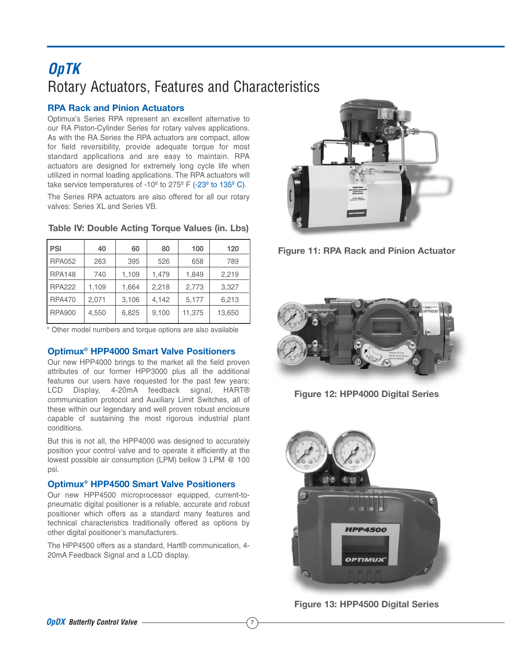## **OpTK** Rotary Actuators, Features and Characteristics

## **RPA Rack and Pinion Actuators**

Optimux's Series RPA represent an excellent alternative to our RA Piston-Cylinder Series for rotary valves applications. As with the RA Series the RPA actuators are compact, allow for field reversibility, provide adequate torque for most standard applications and are easy to maintain. RPA actuators are designed for extremely long cycle life when utilized in normal loading applications. The RPA actuators will take service temperatures of  $-10^{\circ}$  to  $275^{\circ}$  F ( $-23^{\circ}$  to  $135^{\circ}$  C).

The Series RPA actuators are also offered for all our rotary valves: Series XL and Series VB.

| l PSI         | 40    | 60    | 80    | 100    | 120    |
|---------------|-------|-------|-------|--------|--------|
| <b>RPA052</b> | 263   | 395   | 526   | 658    | 789    |
| <b>RPA148</b> | 740   | 1,109 | 1,479 | 1,849  | 2,219  |
| <b>RPA222</b> | 1,109 | 1,664 | 2,218 | 2,773  | 3,327  |
| <b>RPA470</b> | 2,071 | 3,106 | 4,142 | 5,177  | 6,213  |
| <b>RPA900</b> | 4,550 | 6,825 | 9,100 | 11,375 | 13,650 |

#### **Table IV: Double Acting Torque Values (in. Lbs)**

\* Other model numbers and torque options are also available

### **Optimux® HPP4000 Smart Valve Positioners**

Our new HPP4000 brings to the market all the field proven attributes of our former HPP3000 plus all the additional features our users have requested for the past few years: LCD Display, 4-20mA feedback signal, HART® communication protocol and Auxiliary Limit Switches, all of these within our legendary and well proven robust enclosure capable of sustaining the most rigorous industrial plant conditions.

But this is not all, the HPP4000 was designed to accurately position your control valve and to operate it efficiently at the lowest possible air consumption (LPM) bellow 3 LPM @ 100 psi.

#### **Optimux® HPP4500 Smart Valve Positioners**

Our new HPP4500 microprocessor equipped, current-topneumatic digital positioner is a reliable, accurate and robust positioner which offers as a standard many features and technical characteristics traditionally offered as options by other digital positioner's manufacturers.

The HPP4500 offers as a standard, Hart® communication, 4- 20mA Feedback Signal and a LCD display.







**Figure 12: HPP4000 Digital Series**



**Figure 13: HPP4500 Digital Series**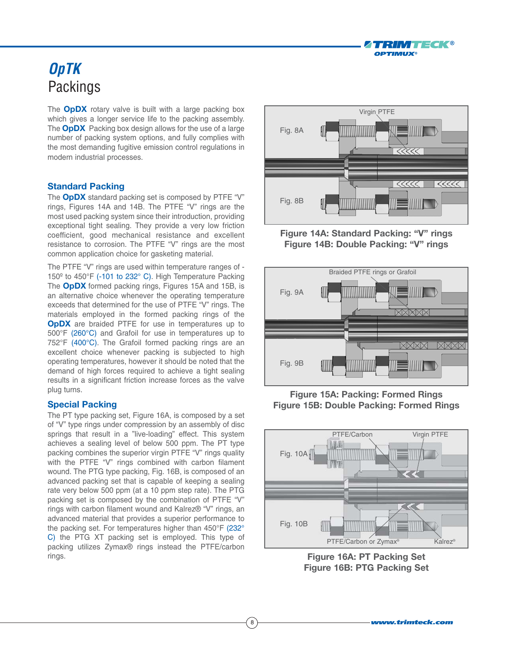

## **OpTK** Packings

The **OpDX** rotary valve is built with a large packing box which gives a longer service life to the packing assembly. The **OpDX** Packing box design allows for the use of a large number of packing system options, and fully complies with the most demanding fugitive emission control regulations in modern industrial processes.

### **Standard Packing**

The **OpDX** standard packing set is composed by PTFE "V" rings, Figures 14A and 14B. The PTFE "V" rings are the most used packing system since their introduction, providing exceptional tight sealing. They provide a very low friction coefficient, good mechanical resistance and excellent resistance to corrosion. The PTFE "V" rings are the most common application choice for gasketing material.

The PTFE "V" rings are used within temperature ranges of - 150º to 450°F (-101 to 232° C). High Temperature Packing The **OpDX** formed packing rings, Figures 15A and 15B, is an alternative choice whenever the operating temperature exceeds that determined for the use of PTFE "V" rings. The materials employed in the formed packing rings of the **OpDX** are braided PTFE for use in temperatures up to 500°F (260°C) and Grafoil for use in temperatures up to 752°F (400°C). The Grafoil formed packing rings are an excellent choice whenever packing is subjected to high operating temperatures, however it should be noted that the demand of high forces required to achieve a tight sealing results in a significant friction increase forces as the valve plug turns.

#### **Special Packing**

The PT type packing set, Figure 16A, is composed by a set of "V" type rings under compression by an assembly of disc springs that result in a "live-loading" effect. This system achieves a sealing level of below 500 ppm. The PT type packing combines the superior virgin PTFE "V" rings quality with the PTFE "V" rings combined with carbon filament wound. The PTG type packing, Fig. 16B, is composed of an advanced packing set that is capable of keeping a sealing rate very below 500 ppm (at a 10 ppm step rate). The PTG packing set is composed by the combination of PTFE "V" rings with carbon filament wound and Kalrez® "V" rings, an advanced material that provides a superior performance to the packing set. For temperatures higher than 450°F (232° C) the PTG XT packing set is employed. This type of packing utilizes Zymax® rings instead the PTFE/carbon rings.



**Figure 14A: Standard Packing: "V" rings Figure 14B: Double Packing: "V" rings**



**Figure 15A: Packing: Formed Rings Figure 15B: Double Packing: Formed Rings**



**Figure 16A: PT Packing Set Figure 16B: PTG Packing Set**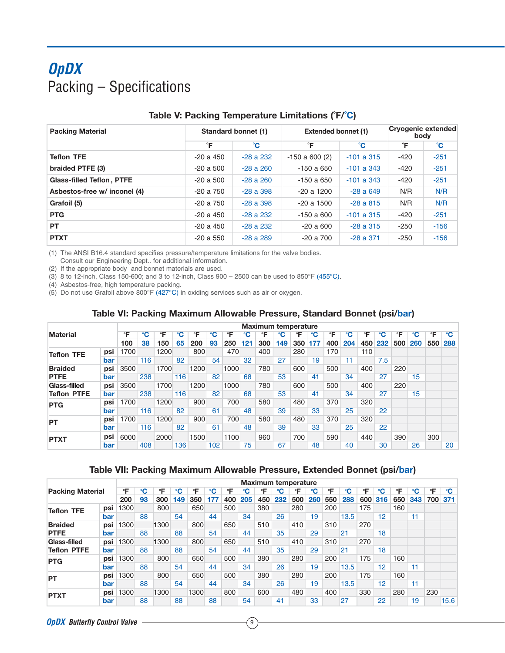## **OpDX** Packing – Specifications

| <b>Packing Material</b>          |           | <b>Standard bonnet (1)</b> | <b>Extended bonnet (1)</b> |              | Cryogenic extended<br>body |        |  |
|----------------------------------|-----------|----------------------------|----------------------------|--------------|----------------------------|--------|--|
|                                  | °F        | °С                         | °F                         | °С           | °F                         | °С     |  |
| <b>Teflon TFE</b>                | $-20a450$ | $-28a232$                  | $-150$ a 600 (2)           | $-101a315$   | $-420$                     | $-251$ |  |
| braided PTFE (3)                 | $-20a500$ | $-28a260$                  | $-150a650$                 | $-101$ a 343 | $-420$                     | $-251$ |  |
| <b>Glass-filled Teflon, PTFE</b> | $-20a500$ | $-28a260$                  | $-150a650$                 | $-101a343$   | $-420$                     | $-251$ |  |
| Asbestos-free w/ inconel (4)     | $-20a750$ | $-28a398$                  | $-20a1200$                 | $-28a649$    | N/R                        | N/R    |  |
| Grafoil (5)                      | $-20a750$ | $-28a398$                  | $-20a1500$                 | $-28a815$    | N/R                        | N/R    |  |
| <b>PTG</b>                       | -20 a 450 | $-28a232$                  | $-150a600$                 | $-101a315$   | $-420$                     | $-251$ |  |
| <b>PT</b>                        | $-20a450$ | $-28a232$                  | $-20a600$                  | $-28a315$    | $-250$                     | $-156$ |  |
| <b>PTXT</b>                      | -20 a 550 | $-28a289$                  | $-20a700$                  | $-28a371$    | $-250$                     | $-156$ |  |

## **Table V: Packing Temperature Limitations (˚F/˚C)**

(1) The ANSI B16.4 standard specifies pressure/temperature limitations for the valve bodies.

Consult our Engineering Dept.. for additional information.

(2) If the appropriate body and bonnet materials are used.

(3) 8 to 12-inch, Class 150-600; and 3 to 12-inch, Class 900 – 2500 can be used to 850°F (455°C).

(4) Asbestos-free, high temperature packing.

(5) Do not use Grafoil above 800°F (427°C) in oxiding services such as air or oxygen.

### **Table VI: Packing Maximum Allowable Pressure, Standard Bonnet (psi/bar)**

|                    |     |      |              |      |              |      |     |      |     | <b>Maximum temperature</b> |     |     |     |     |     |     |     |     |                 |     |     |
|--------------------|-----|------|--------------|------|--------------|------|-----|------|-----|----------------------------|-----|-----|-----|-----|-----|-----|-----|-----|-----------------|-----|-----|
| <b>Material</b>    |     | °F   | $\mathbf{C}$ | ∘F   | $\mathbf{C}$ | °F   | °C  | °F   | °C  | °F                         | °C  | °F  | °C  | °F  |     | ∘F  |     | ∘⊏  |                 | °F  | °C  |
|                    |     | 100  | 38           | 150  | 65           | 200  | 93  | 250  | 121 | 300                        | 149 | 350 | 177 | 400 | 204 | 450 | 232 | 500 | 260             | 550 | 288 |
| <b>Teflon TFE</b>  | psi | 1700 |              | 1200 |              | 800  |     | 470  |     | 400                        |     | 280 |     | 170 |     | 110 |     |     |                 |     |     |
|                    | bar |      | 116          |      | 82           |      | 54  |      | 32  |                            | 27  |     | 19  |     | 11  |     | 7.5 |     |                 |     |     |
| <b>Braided</b>     | psi | 3500 |              | 1700 |              | 1200 |     | 1000 |     | 780                        |     | 600 |     | 500 |     | 400 |     | 220 |                 |     |     |
| <b>PTFE</b>        | bar |      | 238          |      | 116          |      | 82  |      | 68  |                            | 53  |     | 41  |     | 34  |     | 27  |     | 15 <sub>1</sub> |     |     |
| Glass-filled       | psi | 3500 |              | 1700 |              | 1200 |     | 1000 |     | 780                        |     | 600 |     | 500 |     | 400 |     | 220 |                 |     |     |
| <b>Teflon PTFE</b> | bar |      | 238          |      | 116          |      | 82  |      | 68  |                            | 53  |     | 41  |     | 34  |     | 27  |     | 15              |     |     |
| <b>PTG</b>         | psi | 1700 |              | 1200 |              | 900  |     | 700  |     | 580                        |     | 480 |     | 370 |     | 320 |     |     |                 |     |     |
|                    | bar |      | 116          |      | 82           |      | 61  |      | 48  |                            | 39  |     | 33  |     | 25  |     | 22  |     |                 |     |     |
| <b>PT</b>          | psi | 1700 |              | 1200 |              | 900  |     | 700  |     | 580                        |     | 480 |     | 370 |     | 320 |     |     |                 |     |     |
|                    | bar |      | 116          |      | 82           |      | 61  |      | 48  |                            | 39  |     | 33  |     | 25  |     | 22  |     |                 |     |     |
| <b>PTXT</b>        | psi | 6000 |              | 2000 |              | 1500 |     | 1100 |     | 960                        |     | 700 |     | 590 |     | 440 |     | 390 |                 | 300 |     |
|                    | bar |      | 408          |      | 136          |      | 102 |      | 75  |                            | 67  |     | 48  |     | 40  |     | 30  |     | 26              |     | 20  |

### **Table VII: Packing Maximum Allowable Pressure, Extended Bonnet (psi/bar)**

|                         |     |      |    |      |     |      |     |     |     | <b>Maximum temperature</b> |     |     |     |     |      |     |                 |     |     |     |      |
|-------------------------|-----|------|----|------|-----|------|-----|-----|-----|----------------------------|-----|-----|-----|-----|------|-----|-----------------|-----|-----|-----|------|
| <b>Packing Material</b> |     | °F   |    |      |     |      |     | °F  |     |                            |     |     |     | °F  |      | °F  |                 | °F  |     | °F  |      |
|                         |     | 200  | 93 | 300  | 149 | 350  | 177 | 400 | 205 | 450                        | 232 | 500 | 260 | 550 | 288  | 600 | 316             | 650 | 343 | 700 | 371  |
| <b>Teflon TFE</b>       | psi | 1300 |    | 800  |     | 650  |     | 500 |     | 380                        |     | 280 |     | 200 |      | 175 |                 | 160 |     |     |      |
|                         | bar |      | 88 |      | 54  |      | 44  |     | 34  |                            | 26  |     | 19  |     | 13.5 |     | 12              |     | 11  |     |      |
| <b>Braided</b>          | psi | 1300 |    | 1300 |     | 800  |     | 650 |     | 510                        |     | 410 |     | 310 |      | 270 |                 |     |     |     |      |
| <b>PTFE</b>             | bar |      | 88 |      | 88  |      | 54  |     | 44  |                            | 35  |     | 29  |     | 21   |     | 18              |     |     |     |      |
| Glass-filled            | psi | 1300 |    | 1300 |     | 800  |     | 650 |     | 510                        |     | 410 |     | 310 |      | 270 |                 |     |     |     |      |
| <b>Teflon PTFE</b>      | bar |      | 88 |      | 88  |      | 54  |     | 44  |                            | 35  |     | 29  |     | 21   |     | 18              |     |     |     |      |
| <b>PTG</b>              | psi | 1300 |    | 800  |     | 650  |     | 500 |     | 380                        |     | 280 |     | 200 |      | 175 |                 | 160 |     |     |      |
|                         | bar |      | 88 |      | 54  |      | 44  |     | 34  |                            | 26  |     | 19  |     | 13.5 |     | 12 <sup>2</sup> |     | 11  |     |      |
| <b>PT</b>               | psi | 1300 |    | 800  |     | 650  |     | 500 |     | 380                        |     | 280 |     | 200 |      | 175 |                 | 160 |     |     |      |
|                         | bar |      | 88 |      | 54  |      | 44  |     | 34  |                            | 26  |     | 19  |     | 13.5 |     | 12 <sup>2</sup> |     | 11  |     |      |
| <b>PTXT</b>             | psi | 1300 |    | 1300 |     | 1300 |     | 800 |     | 600                        |     | 480 |     | 400 |      | 330 |                 | 280 |     | 230 |      |
|                         | bar |      | 88 |      | 88  |      | 88  |     | 54  |                            | 41  |     | 33  |     | 27   |     | 22              |     | 19  |     | 15.6 |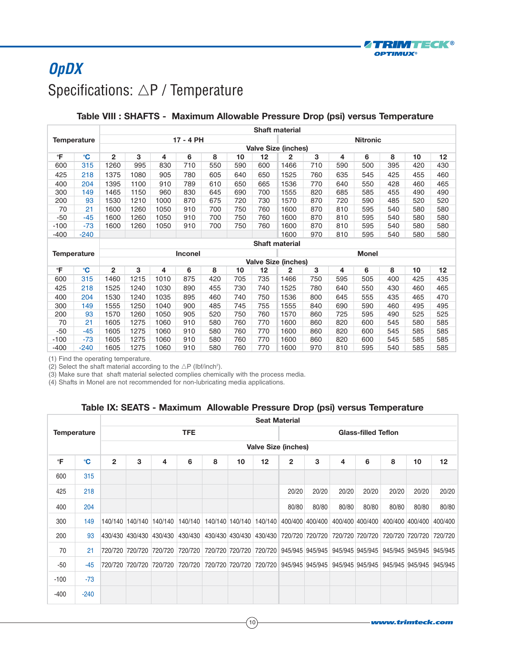

## **OpDX** Specifications:  $\triangle \mathsf{P}$  / Temperature

## **Table VIII : SHAFTS - Maximum Allowable Pressure Drop (psi) versus Temperature**

|              |                    |                | Shaft material |      |                |     |     |     |                            |     |     |                 |     |     |     |  |
|--------------|--------------------|----------------|----------------|------|----------------|-----|-----|-----|----------------------------|-----|-----|-----------------|-----|-----|-----|--|
|              | <b>Temperature</b> |                |                |      | 17 - 4 PH      |     |     |     |                            |     |     | <b>Nitronic</b> |     |     |     |  |
|              |                    |                |                |      |                |     |     |     | <b>Valve Size (inches)</b> |     |     |                 |     |     |     |  |
| °F           | $\mathbf{C}$       | 2              | 3              | 4    | 6              | 8   | 10  | 12  | 2                          | 3   | 4   | 6               | 8   | 10  | 12  |  |
| 600          | 315                | 1260           | 995            | 830  | 710            | 550 | 590 | 600 | 1466                       | 710 | 590 | 500             | 395 | 420 | 430 |  |
| 425          | 218                | 1375           | 1080           | 905  | 780            | 605 | 640 | 650 | 1525                       | 760 | 635 | 545             | 425 | 455 | 460 |  |
| 400          | 204                | 1395           | 1100           | 910  | 789            | 610 | 650 | 665 | 1536                       | 770 | 640 | 550             | 428 | 460 | 465 |  |
| 300          | 149                | 1465           | 1150           | 960  | 830            | 645 | 690 | 700 | 1555                       | 820 | 685 | 585             | 455 | 490 | 490 |  |
| 200          | 93                 | 1530           | 1210           | 1000 | 870            | 675 | 720 | 730 | 1570                       | 870 | 720 | 590             | 485 | 520 | 520 |  |
| 70           | 21                 | 1600           | 1260           | 1050 | 910            | 700 | 750 | 760 | 1600                       | 870 | 810 | 595             | 540 | 580 | 580 |  |
| -50          | $-45$              | 1600           | 1260           | 1050 | 910            | 700 | 750 | 760 | 1600                       | 870 | 810 | 595             | 540 | 580 | 580 |  |
| $-100$       | $-73$              | 1600           | 1260           | 1050 | 910            | 700 | 750 | 760 | 1600                       | 870 | 810 | 595             | 540 | 580 | 580 |  |
| -400         | $-240$             |                |                |      |                |     |     |     | 1600                       | 970 | 810 | 595             | 540 | 580 | 580 |  |
|              |                    |                |                |      |                |     |     |     | <b>Shaft material</b>      |     |     |                 |     |     |     |  |
|              | <b>Temperature</b> |                |                |      | <b>Inconel</b> |     |     |     |                            |     |     | <b>Monel</b>    |     |     |     |  |
|              |                    |                |                |      |                |     |     |     | <b>Valve Size (inches)</b> |     |     |                 |     |     |     |  |
| $\mathsf{P}$ | $\mathbf{C}$       | $\overline{2}$ | 3              | 4    | 6              | 8   | 10  | 12  | $\mathbf{2}$               | 3   | 4   | 6               | 8   | 10  | 12  |  |
| 600          | 315                | 1460           | 1215           | 1010 | 875            | 420 | 705 | 735 | 1466                       | 750 | 595 | 505             | 400 | 425 | 435 |  |
| 425          | 218                | 1525           | 1240           | 1030 | 890            | 455 | 730 | 740 | 1525                       | 780 | 640 | 550             | 430 | 460 | 465 |  |
| 400          | 204                | 1530           | 1240           | 1035 | 895            | 460 | 740 | 750 | 1536                       | 800 | 645 | 555             | 435 | 465 | 470 |  |
| 300          | 149                | 1555           | 1250           | 1040 | 900            | 485 | 745 | 755 | 1555                       | 840 | 690 | 590             | 460 | 495 | 495 |  |
| 200          | 93                 | 1570           | 1260           | 1050 | 905            | 520 | 750 | 760 | 1570                       | 860 | 725 | 595             | 490 | 525 | 525 |  |
| 70           | 21                 | 1605           | 1275           | 1060 | 910            | 580 | 760 | 770 | 1600                       | 860 | 820 | 600             | 545 | 580 | 585 |  |
|              |                    |                |                |      |                |     |     |     |                            |     |     |                 |     |     |     |  |
| $-50$        | $-45$              | 1605           | 1275           | 1060 | 910            | 580 | 760 | 770 | 1600                       | 860 | 820 | 600             | 545 | 585 | 585 |  |
| -100         | $-73$              | 1605           | 1275           | 1060 | 910            | 580 | 760 | 770 | 1600                       | 860 | 820 | 600             | 545 | 585 | 585 |  |

(1) Find the operating temperature.

(2) Select the shaft material according to the  $\triangle P$  (lbf/inch<sup>2</sup>).

(3) Make sure that shaft material selected complies chemically with the process media.

(4) Shafts in Monel are not recommended for non-lubricating media applications.

### **Table IX: SEATS - Maximum Allowable Pressure Drop (psi) versus Temperature**

|                    |              |              |                 |         |                                                                                                         |   |    | <b>Seat Material</b>                                                    |              |       |       |                            |       |       |                 |
|--------------------|--------------|--------------|-----------------|---------|---------------------------------------------------------------------------------------------------------|---|----|-------------------------------------------------------------------------|--------------|-------|-------|----------------------------|-------|-------|-----------------|
| <b>Temperature</b> |              |              |                 |         | <b>TFE</b>                                                                                              |   |    |                                                                         |              |       |       | <b>Glass-filled Teflon</b> |       |       |                 |
|                    |              |              |                 |         |                                                                                                         |   |    | <b>Valve Size (inches)</b>                                              |              |       |       |                            |       |       |                 |
| °F                 | $\mathbf{C}$ | $\mathbf{2}$ | 3               | 4       | 6                                                                                                       | 8 | 10 | 12                                                                      | $\mathbf{2}$ | 3     | 4     | 6                          | 8     | 10    | 12 <sup>2</sup> |
| 600                | 315          |              |                 |         |                                                                                                         |   |    |                                                                         |              |       |       |                            |       |       |                 |
| 425                | 218          |              |                 |         |                                                                                                         |   |    |                                                                         | 20/20        | 20/20 | 20/20 | 20/20                      | 20/20 | 20/20 | 20/20           |
| 400                | 204          |              |                 |         |                                                                                                         |   |    |                                                                         | 80/80        | 80/80 | 80/80 | 80/80                      | 80/80 | 80/80 | 80/80           |
| 300                | 149          |              | 140/140 140/140 | 140/140 | 140/140                                                                                                 |   |    | 140/140 140/140 140/140 400/400 400/400 400/400 400/400 400/400 400/400 |              |       |       |                            |       |       | 400/400         |
| 200                | 93           |              | 430/430 430/430 | 430/430 | 430/430                                                                                                 |   |    | 430/430 430/430 430/430 720/720 720/720 720/720 720/720 720/720 720/720 |              |       |       |                            |       |       | 720/720         |
| 70                 | 21           |              | 720/720 720/720 | 720/720 | 720/720                                                                                                 |   |    | 720/720 720/720 720/720 945/945 945/945 945/945 945/945 945/945 945/945 |              |       |       |                            |       |       | 945/945         |
| $-50$              | $-45$        |              |                 |         | 720/720 720/720 720/720 720/720 720/720 720/720 720/720 945/945 945/945 945/945 945/945 945/945 945/945 |   |    |                                                                         |              |       |       |                            |       |       | 945/945         |
| $-100$             | $-73$        |              |                 |         |                                                                                                         |   |    |                                                                         |              |       |       |                            |       |       |                 |
| -400               | $-240$       |              |                 |         |                                                                                                         |   |    |                                                                         |              |       |       |                            |       |       |                 |

 $(10)$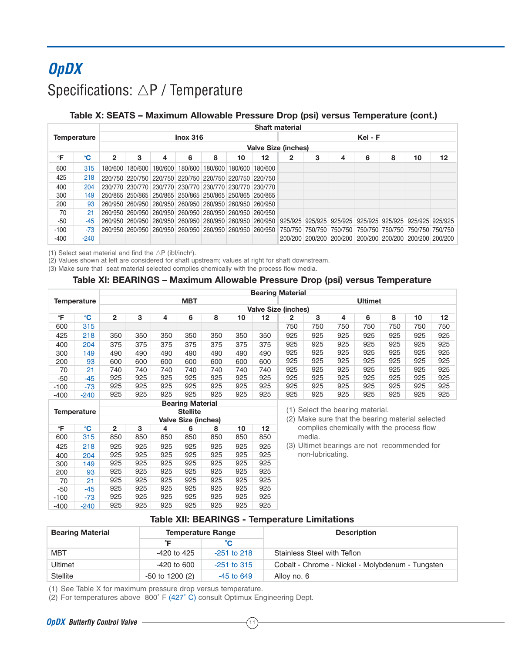# **OpDX** Specifications:  $\triangle \mathsf{P}$  / Temperature

## **Table X: SEATS – Maximum Allowable Pressure Drop (psi) versus Temperature (cont.)**

|        |                    |   |   |                                                         |                 |   |    |                                                         | <b>Shaft material</b> |   |   |         |   |    |                                                                                                                 |
|--------|--------------------|---|---|---------------------------------------------------------|-----------------|---|----|---------------------------------------------------------|-----------------------|---|---|---------|---|----|-----------------------------------------------------------------------------------------------------------------|
|        | <b>Temperature</b> |   |   |                                                         | <b>Inox 316</b> |   |    |                                                         |                       |   |   | Kel - F |   |    |                                                                                                                 |
|        |                    |   |   |                                                         |                 |   |    | <b>Valve Size (inches)</b>                              |                       |   |   |         |   |    |                                                                                                                 |
| °F     | °C                 | 2 | 3 | 4                                                       | 6               | 8 | 10 | 12                                                      | 2                     | 3 | 4 | 6       | 8 | 10 | 12                                                                                                              |
| 600    | 315                |   |   | 180/600 180/600 180/600 180/600 180/600 180/600 180/600 |                 |   |    |                                                         |                       |   |   |         |   |    |                                                                                                                 |
| 425    | 218                |   |   | 220/750 220/750 220/750 220/750 220/750 220/750 220/750 |                 |   |    |                                                         |                       |   |   |         |   |    |                                                                                                                 |
| 400    | 204                |   |   | 230/770 230/770 230/770 230/770 230/770 230/770 230/770 |                 |   |    |                                                         |                       |   |   |         |   |    |                                                                                                                 |
| 300    | 149                |   |   | 250/865 250/865 250/865 250/865 250/865 250/865 250/865 |                 |   |    |                                                         |                       |   |   |         |   |    |                                                                                                                 |
| 200    | 93                 |   |   | 260/950 260/950 260/950 260/950 260/950 260/950 260/950 |                 |   |    |                                                         |                       |   |   |         |   |    |                                                                                                                 |
| 70     | 21                 |   |   | 260/950 260/950 260/950 260/950 260/950 260/950 260/950 |                 |   |    |                                                         |                       |   |   |         |   |    |                                                                                                                 |
| -50    | -45                |   |   |                                                         |                 |   |    | 260/950 260/950 260/950 260/950 260/950 260/950 260/950 |                       |   |   |         |   |    | 925/925 925/925 925/925 925/925 925/925 925/925 925/925                                                         |
| $-100$ | $-73$              |   |   |                                                         |                 |   |    |                                                         |                       |   |   |         |   |    | 260/950 260/950 260/950 260/950 260/950 260/950 260/950 750/750 750/750 750/750 750/750 750/750 750/750 750/750 |
| -400   | $-240$             |   |   |                                                         |                 |   |    |                                                         |                       |   |   |         |   |    | 200/200 200/200 200/200 200/200 200/200 200/200 200/200                                                         |

(1) Select seat material and find the  $\triangle P$  (ibf/inch<sup>2</sup>).

(2) Values shown at left are considered for shaft upstream; values at right for shaft downstream.

(3) Make sure that seat material selected complies chemically with the process flow media.

### **Table XI: BEARINGS – Maximum Allowable Pressure Drop (psi) versus Temperature**

|        |                    |              |     |     |                         |     |     |     | <b>Bearing Material</b>    |     |     |                |     |     |     |
|--------|--------------------|--------------|-----|-----|-------------------------|-----|-----|-----|----------------------------|-----|-----|----------------|-----|-----|-----|
|        | <b>Temperature</b> |              |     |     | <b>MBT</b>              |     |     |     |                            |     |     | <b>Ultimet</b> |     |     |     |
|        |                    |              |     |     |                         |     |     |     | <b>Valve Size (inches)</b> |     |     |                |     |     |     |
| °F     | $\mathbf{C}$       | $\mathbf{2}$ | 3   | 4   | 6                       | 8   | 10  | 12  | 2                          | 3   | 4   | 6              | 8   | 10  | 12  |
| 600    | 315                |              |     |     |                         |     |     |     | 750                        | 750 | 750 | 750            | 750 | 750 | 750 |
| 425    | 218                | 350          | 350 | 350 | 350                     | 350 | 350 | 350 | 925                        | 925 | 925 | 925            | 925 | 925 | 925 |
| 400    | 204                | 375          | 375 | 375 | 375                     | 375 | 375 | 375 | 925                        | 925 | 925 | 925            | 925 | 925 | 925 |
| 300    | 149                | 490          | 490 | 490 | 490                     | 490 | 490 | 490 | 925                        | 925 | 925 | 925            | 925 | 925 | 925 |
| 200    | 93                 | 600          | 600 | 600 | 600                     | 600 | 600 | 600 | 925                        | 925 | 925 | 925            | 925 | 925 | 925 |
| 70     | 21                 | 740          | 740 | 740 | 740                     | 740 | 740 | 740 | 925                        | 925 | 925 | 925            | 925 | 925 | 925 |
| $-50$  | $-45$              | 925          | 925 | 925 | 925                     | 925 | 925 | 925 | 925                        | 925 | 925 | 925            | 925 | 925 | 925 |
| $-100$ | $-73$              | 925          | 925 | 925 | 925                     | 925 | 925 | 925 | 925                        | 925 | 925 | 925            | 925 | 925 | 925 |
| $-400$ | $-240$             | 925          | 925 | 925 | 925                     | 925 | 925 | 925 | 925                        | 925 | 925 | 925            | 925 | 925 | 925 |
|        |                    |              |     |     | <b>Bearing Material</b> |     |     |     |                            |     |     |                |     |     |     |

|        |             |                |     |     | <b>D</b> uanny matural     |     |     |     |
|--------|-------------|----------------|-----|-----|----------------------------|-----|-----|-----|
|        | Temperature |                |     |     | <b>Stellite</b>            |     |     |     |
|        |             |                |     |     | <b>Valve Size (inches)</b> |     |     |     |
| °F     | °C          | $\overline{2}$ | 3   | 4   | 6                          | 8   | 10  | 12  |
| 600    | 315         | 850            | 850 | 850 | 850                        | 850 | 850 | 850 |
| 425    | 218         | 925            | 925 | 925 | 925                        | 925 | 925 | 925 |
| 400    | 204         | 925            | 925 | 925 | 925                        | 925 | 925 | 925 |
| 300    | 149         | 925            | 925 | 925 | 925                        | 925 | 925 | 925 |
| 200    | 93          | 925            | 925 | 925 | 925                        | 925 | 925 | 925 |
| 70     | 21          | 925            | 925 | 925 | 925                        | 925 | 925 | 925 |
| $-50$  | -45         | 925            | 925 | 925 | 925                        | 925 | 925 | 925 |
| $-100$ | -73         | 925            | 925 | 925 | 925                        | 925 | 925 | 925 |
| $-400$ | $-240$      | 925            | 925 | 925 | 925                        | 925 | 925 | 925 |

(1) Select the bearing material.

(2) Make sure that the bearing material selected complies chemically with the process flow media.

(3) Ultimet bearings are not recommended for non-lubricating.

### **Table XII: BEARINGS - Temperature Limitations**

| <b>Bearing Material</b> | <b>Temperature Range</b> |               | <b>Description</b>                               |  |  |  |  |  |  |
|-------------------------|--------------------------|---------------|--------------------------------------------------|--|--|--|--|--|--|
|                         |                          |               |                                                  |  |  |  |  |  |  |
| <b>MBT</b>              | -420 to 425              | $-251$ to 218 | Stainless Steel with Teflon                      |  |  |  |  |  |  |
| Ultimet                 | -420 to 600              | $-251$ to 315 | Cobalt - Chrome - Nickel - Molybdenum - Tungsten |  |  |  |  |  |  |
| <b>Stellite</b>         | $-50$ to 1200 (2)        | $-45$ to 649  | Alloy no. 6                                      |  |  |  |  |  |  |

(1) See Table X for maximum pressure drop versus temperature.

(2) For temperatures above 800˚ F (427˚ C) consult Optimux Engineering Dept.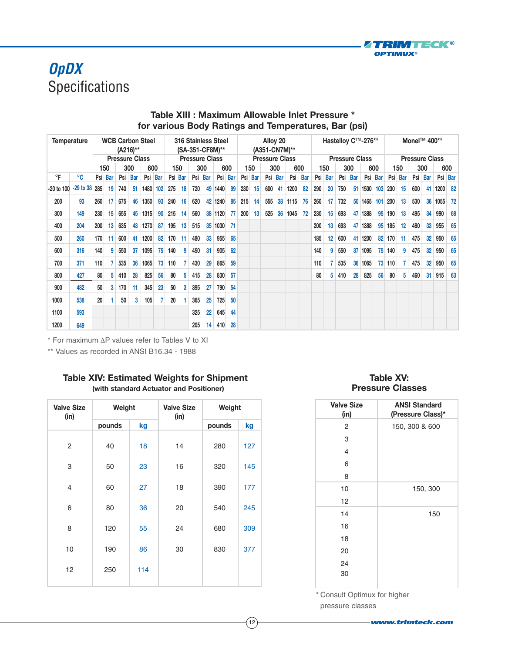

## **OpDX** Specifications

|            | <b>WCB Carbon Steel</b><br><b>Temperature</b><br>(A216)** |     |         |     |                       | 316 Stainless Steel<br>(SA-351-CF8M)** |         |     |            | Alloy 20<br>(A351-CN7M)** |         |         |         |                       |         | Hastelloy C™-276** |    |                       |            |     |         | Monel™ 400** |         |                       |         |        |            |     |            |         |         |
|------------|-----------------------------------------------------------|-----|---------|-----|-----------------------|----------------------------------------|---------|-----|------------|---------------------------|---------|---------|---------|-----------------------|---------|--------------------|----|-----------------------|------------|-----|---------|--------------|---------|-----------------------|---------|--------|------------|-----|------------|---------|---------|
|            |                                                           |     |         |     | <b>Pressure Class</b> |                                        |         |     |            | <b>Pressure Class</b>     |         |         |         | <b>Pressure Class</b> |         |                    |    | <b>Pressure Class</b> |            |     |         |              |         | <b>Pressure Class</b> |         |        |            |     |            |         |         |
|            |                                                           |     | 150     |     | 300                   | 600                                    |         |     | 300<br>150 |                           | 600     |         |         | 150                   |         | 300                |    | 600                   |            | 150 |         | 300          | 600     |                       | 150     |        | 300        |     | 600        |         |         |
| $\circ$ F  | °C                                                        |     | Psi Bar |     | Psi Bar               |                                        | Psi Bar |     | Psi Bar    |                           | Psi Bar |         | Psi Bar |                       | Psi Bar | Psi Bar            |    | Psi                   | <b>Bar</b> |     | Psi Bar |              | Psi Bar |                       | Psi Bar | Psi    | <b>Bar</b> | Psi | <b>Bar</b> |         | Psi Bar |
| -20 to 100 | $-29$ to $38$ 285                                         |     | 19      | 740 | 51                    | 1480 102                               |         | 275 | 18         | 720                       | 49      | 1440    | 99      | 230                   | 15      | 600                | 41 | 1200                  | 82         | 290 | 20      | 750          |         | 51 1500               | 103     | 230    | 15         | 600 | 41         | 1200 82 |         |
| 200        | 93                                                        | 260 | 17      | 675 | 46                    | 1350                                   | 93      | 240 | 16         | 620                       |         | 42 1240 | 85      | 215                   | 14      | 555                | 38 | 1115                  | 76         | 260 | 17      | 732          |         | 50 1465               | 101     | 200    | 13         | 530 | 36         | 1055    | 72      |
| 300        | 149                                                       | 230 | 15      | 655 | 45                    | 1315                                   | 90      | 215 | 14         | 560                       | 38      | 1120    | 77      | 200                   | 13      | 525                | 36 | 1045                  | 72         | 230 | 15      | 693          |         | 47 1388               | 95      | 190    | 13         | 495 | 34         | 990     | 68      |
| 400        | 204                                                       | 200 | 13      | 635 | 43                    | 1270                                   | 87      | 195 | 13         | 515                       | 35      | 1030    | -71     |                       |         |                    |    |                       |            | 200 | 13      | 693          |         | 47 1388               | 95      | 185    | 12         | 480 | 33         | 955     | 65      |
| 500        | 260                                                       | 170 | 11      | 600 | 41                    | 1200                                   | 82      | 170 | 11         | 480                       | 33      | 955     | 65      |                       |         |                    |    |                       |            | 185 | 12      | 600          |         | 41 1200               |         | 82 170 | -11        | 475 | 32         | 950     | 65      |
| 600        | 316                                                       | 140 | 9       | 550 | 37                    | 1095                                   | 75      | 140 | 9          | 450                       | 31      | 905     | 62      |                       |         |                    |    |                       |            | 140 | 9       | 550          |         | 37 1095               |         | 75 140 | 9          | 475 | 32         | 950     | 65      |
| 700        | 371                                                       | 110 |         | 535 | 36                    | 1065                                   | 73      | 110 |            | 430                       | 29      | 865     | 59      |                       |         |                    |    |                       |            | 110 |         | 535          |         | 36 1065               |         | 73 110 |            | 475 | 32         | 950     | 65      |
| 800        | 427                                                       | 80  | 5       | 410 | 28                    | 825                                    | 56      | 80  | 5          | 415                       | 28      | 830     | 57      |                       |         |                    |    |                       |            | 80  | 5       | 410          | 28      | 825                   | 56      | 80     | 5          | 460 | 31         | 915     | 63      |
| 900        | 482                                                       | 50  | 3       | 170 | 11                    | 345                                    | 23      | 50  | 3          | 395                       | 27      | 790     | 54      |                       |         |                    |    |                       |            |     |         |              |         |                       |         |        |            |     |            |         |         |
| 1000       | 538                                                       | 20  |         | 50  | 3                     | 105                                    |         | 20  |            | 365                       | 25      | 725     | 50      |                       |         |                    |    |                       |            |     |         |              |         |                       |         |        |            |     |            |         |         |
| 1100       | 593                                                       |     |         |     |                       |                                        |         |     |            | 325                       | 22      | 645     | 44      |                       |         |                    |    |                       |            |     |         |              |         |                       |         |        |            |     |            |         |         |
| 1200       | 649                                                       |     |         |     |                       |                                        |         |     |            | 205                       | 14      | 410     | 28      |                       |         |                    |    |                       |            |     |         |              |         |                       |         |        |            |     |            |         |         |

## **Table XIII : Maximum Allowable Inlet Pressure \* for various Body Ratings and Temperatures, Bar (psi)**

\* For maximum ΔP values refer to Tables V to XI

\*\* Values as recorded in ANSI B16.34 - 1988

## **Table XIV: Estimated Weights for Shipment (with standard Actuator and Positioner)**

| <b>Valve Size</b><br>(in) | Weight |     | <b>Valve Size</b><br>(in) | Weight |     |  |  |  |  |
|---------------------------|--------|-----|---------------------------|--------|-----|--|--|--|--|
|                           | pounds | kg  |                           | pounds | kg  |  |  |  |  |
| $\overline{c}$            | 40     | 18  | 14                        | 280    | 127 |  |  |  |  |
| 3                         | 50     | 23  | 16                        | 320    | 145 |  |  |  |  |
| 4                         | 60     | 27  | 18                        | 390    | 177 |  |  |  |  |
| 6                         | 80     | 36  | 20                        | 540    | 245 |  |  |  |  |
| 8                         | 120    | 55  | 24                        | 680    | 309 |  |  |  |  |
| 10                        | 190    | 86  | 30                        | 830    | 377 |  |  |  |  |
| 12                        | 250    | 114 |                           |        |     |  |  |  |  |

## **Table XV: Pressure Classes**

| <b>Valve Size</b><br>(in) | <b>ANSI Standard</b><br>(Pressure Class)* |
|---------------------------|-------------------------------------------|
| 2                         | 150, 300 & 600                            |
| 3                         |                                           |
| 4                         |                                           |
| 6                         |                                           |
| 8                         |                                           |
| 10                        | 150, 300                                  |
| 12                        |                                           |
| 14                        | 150                                       |
| 16                        |                                           |
| 18                        |                                           |
| 20                        |                                           |
| 24                        |                                           |
| 30                        |                                           |
|                           |                                           |

\* Consult Optimux for higher pressure classes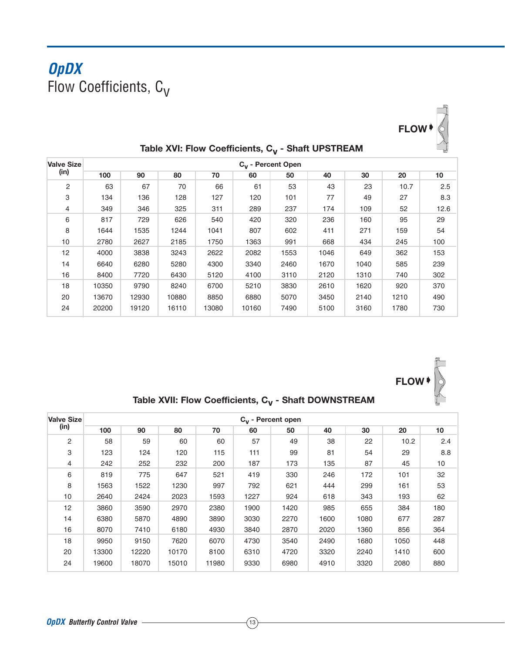## **OpDX** Flow Coefficients,  $C_V$



| Table XVI: Flow Coefficients, C <sub>v</sub> - Shaft UPSTREAM |  |
|---------------------------------------------------------------|--|
|---------------------------------------------------------------|--|

| <b>Valve Size</b> | C <sub>y</sub> - Percent Open |       |       |       |       |      |      |      |      |      |  |  |  |  |  |
|-------------------|-------------------------------|-------|-------|-------|-------|------|------|------|------|------|--|--|--|--|--|
| (in)              | 100                           | 90    | 80    | 70    | 60    | 50   | 40   | 30   | 20   | 10   |  |  |  |  |  |
| 2                 | 63                            | 67    | 70    | 66    | 61    | 53   | 43   | 23   | 10.7 | 2.5  |  |  |  |  |  |
| 3                 | 134                           | 136   | 128   | 127   | 120   | 101  | 77   | 49   | 27   | 8.3  |  |  |  |  |  |
| $\overline{4}$    | 349                           | 346   | 325   | 311   | 289   | 237  | 174  | 109  | 52   | 12.6 |  |  |  |  |  |
| 6                 | 817                           | 729   | 626   | 540   | 420   | 320  | 236  | 160  | 95   | 29   |  |  |  |  |  |
| 8                 | 1644                          | 1535  | 1244  | 1041  | 807   | 602  | 411  | 271  | 159  | 54   |  |  |  |  |  |
| 10                | 2780                          | 2627  | 2185  | 1750  | 1363  | 991  | 668  | 434  | 245  | 100  |  |  |  |  |  |
| 12                | 4000                          | 3838  | 3243  | 2622  | 2082  | 1553 | 1046 | 649  | 362  | 153  |  |  |  |  |  |
| 14                | 6640                          | 6280  | 5280  | 4300  | 3340  | 2460 | 1670 | 1040 | 585  | 239  |  |  |  |  |  |
| 16                | 8400                          | 7720  | 6430  | 5120  | 4100  | 3110 | 2120 | 1310 | 740  | 302  |  |  |  |  |  |
| 18                | 10350                         | 9790  | 8240  | 6700  | 5210  | 3830 | 2610 | 1620 | 920  | 370  |  |  |  |  |  |
| 20                | 13670                         | 12930 | 10880 | 8850  | 6880  | 5070 | 3450 | 2140 | 1210 | 490  |  |  |  |  |  |
| 24                | 20200                         | 19120 | 16110 | 13080 | 10160 | 7490 | 5100 | 3160 | 1780 | 730  |  |  |  |  |  |



Table XVII: Flow Coefficients, C<sub>V</sub> - Shaft DOWNSTREAM

| <b>Valve Size</b> |       | $C_v$ - Percent open |       |       |      |      |      |      |      |     |  |  |  |  |  |  |
|-------------------|-------|----------------------|-------|-------|------|------|------|------|------|-----|--|--|--|--|--|--|
| (in)              | 100   | 90                   | 80    | 70    | 60   | 50   | 40   | 30   | 20   | 10  |  |  |  |  |  |  |
| $\overline{2}$    | 58    | 59                   | 60    | 60    | 57   | 49   | 38   | 22   | 10.2 | 2.4 |  |  |  |  |  |  |
| 3                 | 123   | 124                  | 120   | 115   | 111  | 99   | 81   | 54   | 29   | 8.8 |  |  |  |  |  |  |
| 4                 | 242   | 252                  | 232   | 200   | 187  | 173  | 135  | 87   | 45   | 10  |  |  |  |  |  |  |
| 6                 | 819   | 775                  | 647   | 521   | 419  | 330  | 246  | 172  | 101  | 32  |  |  |  |  |  |  |
| 8                 | 1563  | 1522                 | 1230  | 997   | 792  | 621  | 444  | 299  | 161  | 53  |  |  |  |  |  |  |
| 10                | 2640  | 2424                 | 2023  | 1593  | 1227 | 924  | 618  | 343  | 193  | 62  |  |  |  |  |  |  |
| 12                | 3860  | 3590                 | 2970  | 2380  | 1900 | 1420 | 985  | 655  | 384  | 180 |  |  |  |  |  |  |
| 14                | 6380  | 5870                 | 4890  | 3890  | 3030 | 2270 | 1600 | 1080 | 677  | 287 |  |  |  |  |  |  |
| 16                | 8070  | 7410                 | 6180  | 4930  | 3840 | 2870 | 2020 | 1360 | 856  | 364 |  |  |  |  |  |  |
| 18                | 9950  | 9150                 | 7620  | 6070  | 4730 | 3540 | 2490 | 1680 | 1050 | 448 |  |  |  |  |  |  |
| 20                | 13300 | 12220                | 10170 | 8100  | 6310 | 4720 | 3320 | 2240 | 1410 | 600 |  |  |  |  |  |  |
| 24                | 19600 | 18070                | 15010 | 11980 | 9330 | 6980 | 4910 | 3320 | 2080 | 880 |  |  |  |  |  |  |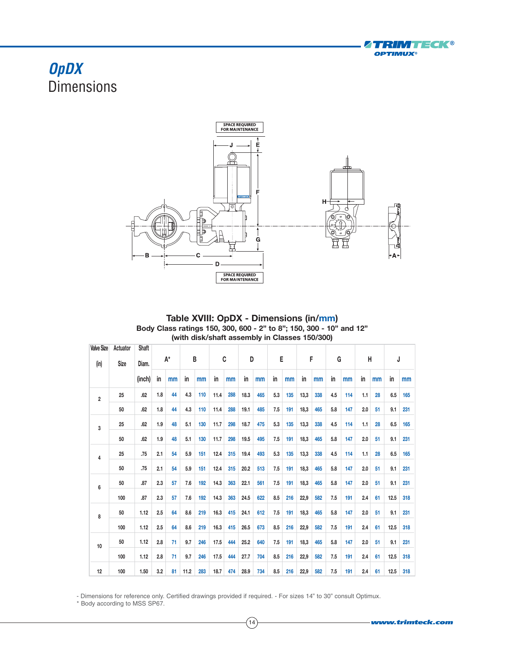

## **OpDX Dimensions**



| Table XVIII: OpDX - Dimensions (in/mm)                              |
|---------------------------------------------------------------------|
| Body Class ratings 150, 300, 600 - 2" to 8": 150, 300 - 10" and 12" |
| (with disk/shaft assembly in Classes 150/300)                       |

| <b>Valve Size</b> | Actuator    | Shaft  | A*  |    |      |     |      |     |      |     |     |     |      |     |     |     |     |    |      |     |  |  |
|-------------------|-------------|--------|-----|----|------|-----|------|-----|------|-----|-----|-----|------|-----|-----|-----|-----|----|------|-----|--|--|
| (in)              | <b>Size</b> | Diam.  |     |    | B    |     | C    |     | D    |     | Е   |     | F    |     | G   |     | Н   |    | J    |     |  |  |
|                   |             | (inch) | in  | mm | in   | mm  | in   | mm  | in   | mm  | in  | mm  | in   | mm  | in  | mm  | in  | mm | in   | mm  |  |  |
| $\overline{2}$    | 25          | .62    | 1.8 | 44 | 4.3  | 110 | 11.4 | 288 | 18.3 | 465 | 5.3 | 135 | 13,3 | 338 | 4.5 | 114 | 1.1 | 28 | 6.5  | 165 |  |  |
|                   | 50          | .62    | 1.8 | 44 | 4.3  | 110 | 11.4 | 288 | 19.1 | 485 | 7.5 | 191 | 18,3 | 465 | 5.8 | 147 | 2.0 | 51 | 9.1  | 231 |  |  |
| 3                 | 25          | .62    | 1.9 | 48 | 5.1  | 130 | 11.7 | 298 | 18.7 | 475 | 5.3 | 135 | 13,3 | 338 | 4.5 | 114 | 1.1 | 28 | 6.5  | 165 |  |  |
|                   | 50          | .62    | 1.9 | 48 | 5.1  | 130 | 11.7 | 298 | 19.5 | 495 | 7.5 | 191 | 18,3 | 465 | 5.8 | 147 | 2.0 | 51 | 9.1  | 231 |  |  |
| $\overline{4}$    | 25          | .75    | 2.1 | 54 | 5.9  | 151 | 12.4 | 315 | 19.4 | 493 | 5.3 | 135 | 13,3 | 338 | 4.5 | 114 | 1.1 | 28 | 6.5  | 165 |  |  |
|                   | 50          | .75    | 2.1 | 54 | 5.9  | 151 | 12.4 | 315 | 20.2 | 513 | 7.5 | 191 | 18,3 | 465 | 5.8 | 147 | 2.0 | 51 | 9.1  | 231 |  |  |
| 6                 | 50          | .87    | 2.3 | 57 | 7.6  | 192 | 14.3 | 363 | 22.1 | 561 | 7.5 | 191 | 18,3 | 465 | 5.8 | 147 | 2.0 | 51 | 9.1  | 231 |  |  |
|                   | 100         | .87    | 2.3 | 57 | 7.6  | 192 | 14.3 | 363 | 24.5 | 622 | 8.5 | 216 | 22,9 | 582 | 7.5 | 191 | 2.4 | 61 | 12.5 | 318 |  |  |
| 8                 | 50          | 1.12   | 2.5 | 64 | 8.6  | 219 | 16.3 | 415 | 24.1 | 612 | 7.5 | 191 | 18,3 | 465 | 5.8 | 147 | 2.0 | 51 | 9.1  | 231 |  |  |
|                   | 100         | 1.12   | 2.5 | 64 | 8.6  | 219 | 16.3 | 415 | 26.5 | 673 | 8.5 | 216 | 22,9 | 582 | 7.5 | 191 | 2.4 | 61 | 12.5 | 318 |  |  |
| 10                | 50          | 1.12   | 2.8 | 71 | 9.7  | 246 | 17.5 | 444 | 25.2 | 640 | 7.5 | 191 | 18,3 | 465 | 5.8 | 147 | 2.0 | 51 | 9.1  | 231 |  |  |
|                   | 100         | 1.12   | 2.8 | 71 | 9.7  | 246 | 17.5 | 444 | 27.7 | 704 | 8.5 | 216 | 22,9 | 582 | 7.5 | 191 | 2.4 | 61 | 12.5 | 318 |  |  |
| 12                | 100         | 1.50   | 3.2 | 81 | 11.2 | 283 | 18.7 | 474 | 28.9 | 734 | 8.5 | 216 | 22,9 | 582 | 7.5 | 191 | 2.4 | 61 | 12.5 | 318 |  |  |

- Dimensions for reference only. Certified drawings provided if required. - For sizes 14" to 30" consult Optimux.

\* Body according to MSS SP67.